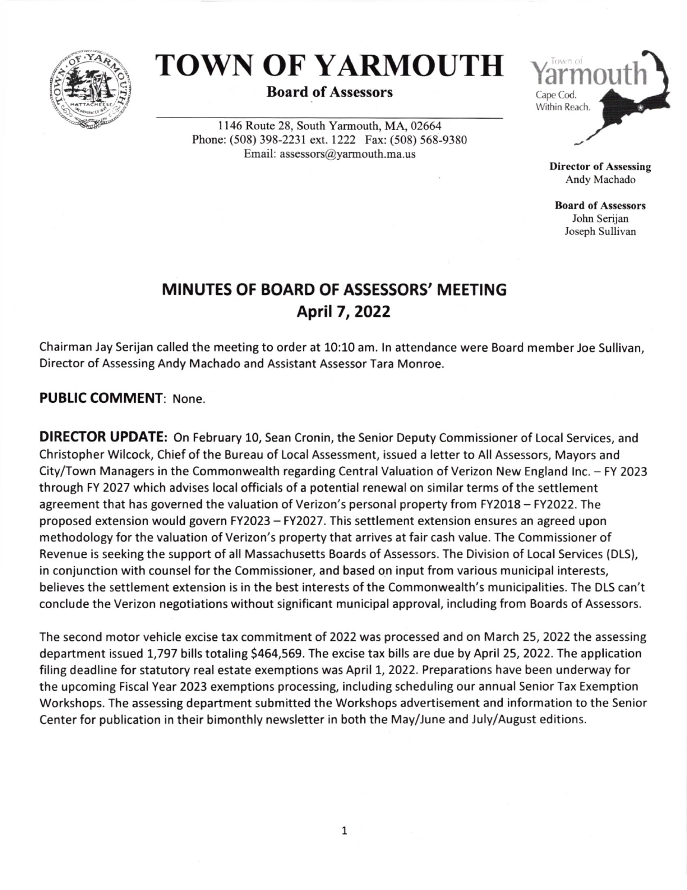

## TOWN OF YARMOUTH Varm

## Board of Assessors

I 146 Route 28, South Yarmouth, MA,02664 Phone: (508) 398-2231 ext.1222 Fax: (508) 568-9380 Email: assessors(@yarmouth.ma.us



Director of Assessing Andy Machado

Board of Assessors John Serijan Joseph Sullivan

## MINUTES OF BOARD OF ASSESSORS' MEETING April 7, 2022

Chairman Jay Serijan called the meeting to order at 10:10 am. In attendance were Board member Joe Sullivan, Director of Assessing Andy Machado and Assistant Assessor Tara Monroe.

## PUBLIC COMMENT: None.

DIRECTOR UPDATE: On February 10, Sean Cronin, the Senior Deputy Commissioner of Local Services, and Christopher Wilcock, Chief of the Bureau of Local Assessment, issued a letter to All Assessors, Mayors and City/Town Managers in the Commonwealth regarding Central Valuation of Verizon New England lnc. - FY <sup>2023</sup> through FY 2027 which advises local officials of a potential renewal on similar terms of the settlement agreement that has governed the valuation of Verizon's personal property from FY2018 - FY2022. The proposed extension would govern tY2O23 - FY2O27. This settlement extension ensures an agreed upon methodology for the valuation of Verizon's property that arrives at fair cash value. The Commissioner of Revenue is seeking the support of all Massachusetts Boards of Assessors. The Division of Local Services (DLS), in conjunction with counsel for the Commissioner, and based on input from various municipal interests, believes the settlement extension is in the best interests of the Commonwealth's municipalities. The DLS can't conclude the Verizon negotiations without significant municipal approval, including from Boards of Assessors.

The second motor vehicle excise tax commitment of 2022 was processed and on March 25, 2022 the assessing department issued 1,797 bills totaling \$464,569. The excise tax bills are due by April 25, 2022. The application filing deadline for statutory real estate exemptions was April 1, 2022. Preparations have been underway for the upcoming Fiscal Year 2023 exemptions processing, including scheduling our annual Senior Tax Exemption Workshops. The assessing department submitted the Workshops advertisement and information to the Senior Center for publication in their bimonthly newsletter in both the May/June and July/August editions.